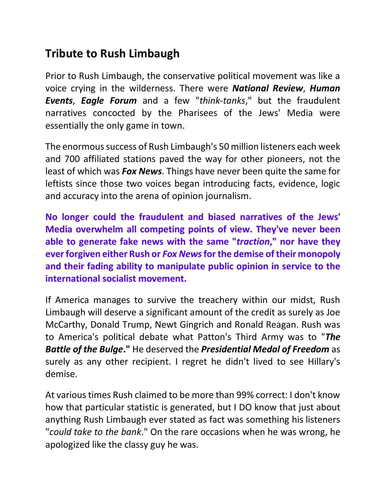## **Tribute to Rush Limbaugh**

Prior to Rush Limbaugh, the conservative political movement was like a voice crying in the wilderness. There were *National Review*, *Human Events*, *Eagle Forum* and a few "*think-tanks*," but the fraudulent narratives concocted by the Pharisees of the Jews' Media were essentially the only game in town.

The enormous success of Rush Limbaugh's 50 million listeners each week and 700 affiliated stations paved the way for other pioneers, not the least of which was *Fox News*. Things have never been quite the same for leftists since those two voices began introducing facts, evidence, logic and accuracy into the arena of opinion journalism.

**No longer could the fraudulent and biased narratives of the Jews' Media overwhelm all competing points of view. They've never been able to generate fake news with the same "***traction***," nor have they ever forgiven either Rush or** *Fox News* **for the demise of their monopoly and their fading ability to manipulate public opinion in service to the international socialist movement.** 

If America manages to survive the treachery within our midst, Rush Limbaugh will deserve a significant amount of the credit as surely as Joe McCarthy, Donald Trump, Newt Gingrich and Ronald Reagan. Rush was to America's political debate what Patton's Third Army was to "*The Battle of the Bulge***."** He deserved the *Presidential Medal of Freedom* as surely as any other recipient. I regret he didn't lived to see Hillary's demise.

At various times Rush claimed to be more than 99% correct: I don't know how that particular statistic is generated, but I DO know that just about anything Rush Limbaugh ever stated as fact was something his listeners "*could take to the bank*." On the rare occasions when he was wrong, he apologized like the classy guy he was.